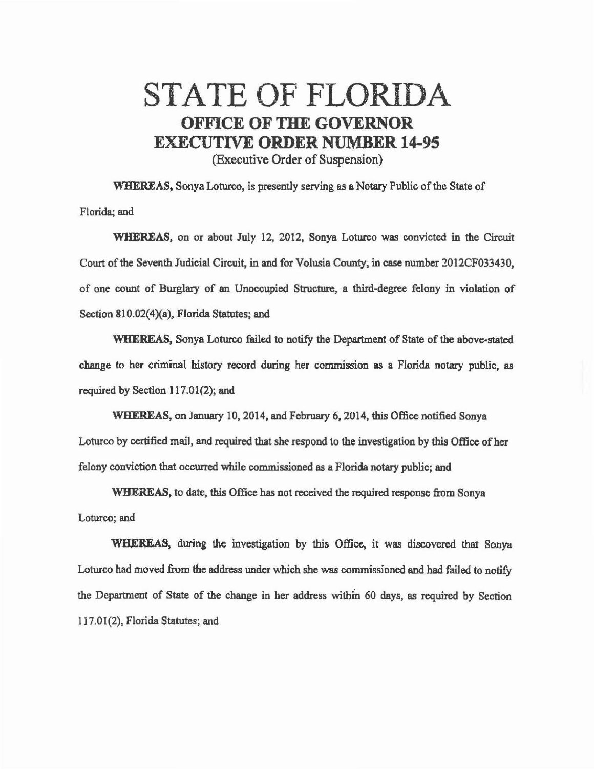## STATE OF FLORIDA OFFICE OF THE GOVERNOR EXECUTIVE ORDER NUMBER 14-95 (Executive Order of Suspension)

WHEREAS, Sonya Loturco, is presently serving as a Notary Public of the State of Florida; and

WHEREAS, on or about July 12, 2012, Sonya Loturco was convicted in the Circuit Court of the Seventh Judicial Circuit, in and for Volusia County, in case number 2012CF033430, of one count of Burglary of an Unoccupied Structure, a third-degree felony in violation of Section 810.02(4)(a), Florida Statutes; and

WHEREAS, Sonya Loturco failed to notify the Department of State of the above-stated change to her criminal history record during her commission as a Florida notary public, as required by Section 117.01(2); and

WHEREAS, on January 10, 2014, and February 6, 2014, this Office notified Sonya Loturco by certified mail, and required that she respond to the investigation by this Office of her felony conviction that occurred while commissioned as a Florida notary public; and

WHEREAS, to date, this Office has not received the required response from Sonya Loturco; and

WHEREAS, dwing the investigation by this Office, it was discovered that Sonya Loturco had moved from the eddress under which she was commissioned end had failed to notify the Department of State of the change in her address within 60 days, as required by Section 117.01(2), Florida Statutes; and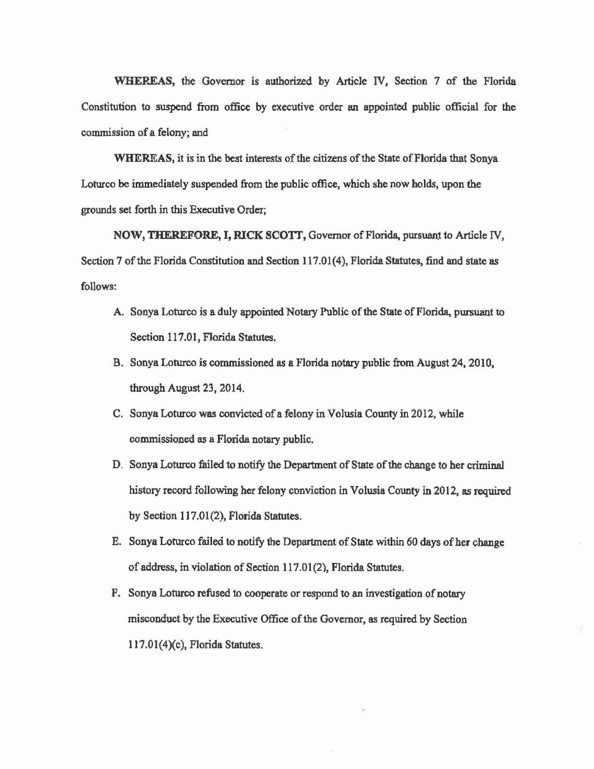WHEREAS, the Governor is authorized by Article IV, Section 7 of the Florida Constitution to suspend from office by executive order an appointed public official for the commission of a felony; and

WHEREAS, it is in the best interests of the citizens of the State of Florida that Sonya Loturco be immediately suspended from the public office, which she now holds, upon the grounds set forth in this Executive Order;

NOW, THEREFORE, I, RICK SCOTT, Governor of Florida, pursuant to Article IV, Section 7 of the Florida Constitution and Section 117.01(4), Florida Statutes, find and state as follows:

- A. Sonya Loturco is a duly appointed Notary Public of the State of Florida, pursuant to Section 117.01, Florida Statutes.
- B. Sonya Loturco is commissioned as a Florida notary public from August 24, 2010, through August 23, 2014.
- C. Sonya Loturco was convicted of a felony in Volusia County in 2012, while commissioned as a Florida notary public.
- D. Sonya Loturco failed to notify the Department of State of the change to her criminal history record following her felony conviction in Volusia County in 2012, as required by Section 117.01(2), Florida Statutes.
- E. Sonya Loturco failed to notify the Department of State within 60 days of her change of address, in violation of Section 117.01(2), Florida Statutes.
- F. Sonya Loturco refused to cooperate or respond to an investigation of notary misconduct by the Executive Office of the Governor, as required by Section  $117.01(4)(c)$ , Florida Statutes.